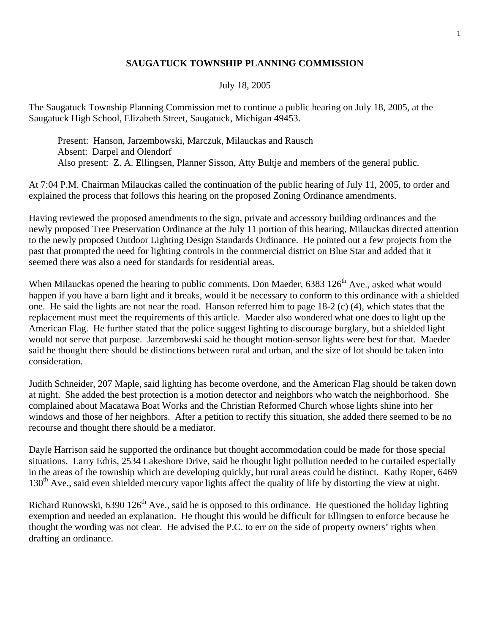## **SAUGATUCK TOWNSHIP PLANNING COMMISSION**

## July 18, 2005

The Saugatuck Township Planning Commission met to continue a public hearing on July 18, 2005, at the Saugatuck High School, Elizabeth Street, Saugatuck, Michigan 49453.

 Present: Hanson, Jarzembowski, Marczuk, Milauckas and Rausch Absent: Darpel and Olendorf Also present: Z. A. Ellingsen, Planner Sisson, Atty Bultje and members of the general public.

At 7:04 P.M. Chairman Milauckas called the continuation of the public hearing of July 11, 2005, to order and explained the process that follows this hearing on the proposed Zoning Ordinance amendments.

Having reviewed the proposed amendments to the sign, private and accessory building ordinances and the newly proposed Tree Preservation Ordinance at the July 11 portion of this hearing, Milauckas directed attention to the newly proposed Outdoor Lighting Design Standards Ordinance. He pointed out a few projects from the past that prompted the need for lighting controls in the commercial district on Blue Star and added that it seemed there was also a need for standards for residential areas.

When Milauckas opened the hearing to public comments, Don Maeder,  $6383\ 126<sup>th</sup>$  Ave., asked what would happen if you have a barn light and it breaks, would it be necessary to conform to this ordinance with a shielded one. He said the lights are not near the road. Hanson referred him to page 18-2 (c) (4), which states that the replacement must meet the requirements of this article. Maeder also wondered what one does to light up the American Flag. He further stated that the police suggest lighting to discourage burglary, but a shielded light would not serve that purpose. Jarzembowski said he thought motion-sensor lights were best for that. Maeder said he thought there should be distinctions between rural and urban, and the size of lot should be taken into consideration.

Judith Schneider, 207 Maple, said lighting has become overdone, and the American Flag should be taken down at night. She added the best protection is a motion detector and neighbors who watch the neighborhood. She complained about Macatawa Boat Works and the Christian Reformed Church whose lights shine into her windows and those of her neighbors. After a petition to rectify this situation, she added there seemed to be no recourse and thought there should be a mediator.

Dayle Harrison said he supported the ordinance but thought accommodation could be made for those special situations. Larry Edris, 2534 Lakeshore Drive, said he thought light pollution needed to be curtailed especially in the areas of the township which are developing quickly, but rural areas could be distinct. Kathy Roper, 6469  $130<sup>th</sup>$  Ave., said even shielded mercury vapor lights affect the quality of life by distorting the view at night.

Richard Runowski,  $6390\ 126<sup>th</sup>$  Ave., said he is opposed to this ordinance. He questioned the holiday lighting exemption and needed an explanation. He thought this would be difficult for Ellingsen to enforce because he thought the wording was not clear. He advised the P.C. to err on the side of property owners' rights when drafting an ordinance.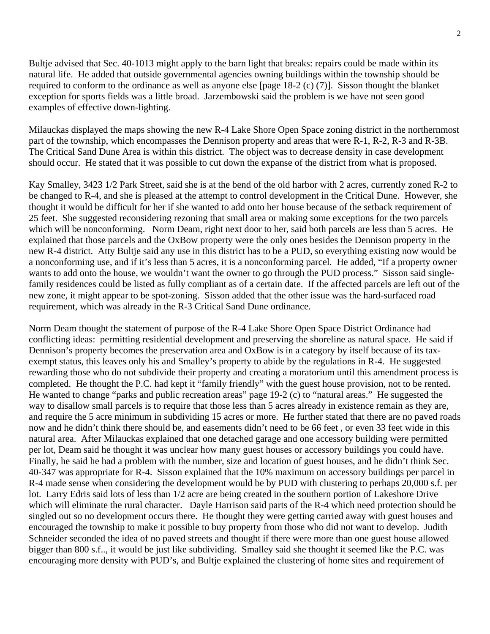Bultje advised that Sec. 40-1013 might apply to the barn light that breaks: repairs could be made within its natural life. He added that outside governmental agencies owning buildings within the township should be required to conform to the ordinance as well as anyone else [page 18-2 (c) (7)]. Sisson thought the blanket exception for sports fields was a little broad. Jarzembowski said the problem is we have not seen good examples of effective down-lighting.

Milauckas displayed the maps showing the new R-4 Lake Shore Open Space zoning district in the northernmost part of the township, which encompasses the Dennison property and areas that were R-1, R-2, R-3 and R-3B. The Critical Sand Dune Area is within this district. The object was to decrease density in case development should occur. He stated that it was possible to cut down the expanse of the district from what is proposed.

Kay Smalley, 3423 1/2 Park Street, said she is at the bend of the old harbor with 2 acres, currently zoned R-2 to be changed to R-4, and she is pleased at the attempt to control development in the Critical Dune. However, she thought it would be difficult for her if she wanted to add onto her house because of the setback requirement of 25 feet. She suggested reconsidering rezoning that small area or making some exceptions for the two parcels which will be nonconforming. Norm Deam, right next door to her, said both parcels are less than 5 acres. He explained that those parcels and the OxBow property were the only ones besides the Dennison property in the new R-4 district. Atty Bultje said any use in this district has to be a PUD, so everything existing now would be a nonconforming use, and if it's less than 5 acres, it is a nonconforming parcel. He added, "If a property owner wants to add onto the house, we wouldn't want the owner to go through the PUD process." Sisson said singlefamily residences could be listed as fully compliant as of a certain date. If the affected parcels are left out of the new zone, it might appear to be spot-zoning. Sisson added that the other issue was the hard-surfaced road requirement, which was already in the R-3 Critical Sand Dune ordinance.

Norm Deam thought the statement of purpose of the R-4 Lake Shore Open Space District Ordinance had conflicting ideas: permitting residential development and preserving the shoreline as natural space. He said if Dennison's property becomes the preservation area and OxBow is in a category by itself because of its taxexempt status, this leaves only his and Smalley's property to abide by the regulations in R-4. He suggested rewarding those who do not subdivide their property and creating a moratorium until this amendment process is completed. He thought the P.C. had kept it "family friendly" with the guest house provision, not to be rented. He wanted to change "parks and public recreation areas" page 19-2 (c) to "natural areas." He suggested the way to disallow small parcels is to require that those less than 5 acres already in existence remain as they are, and require the 5 acre minimum in subdividing 15 acres or more. He further stated that there are no paved roads now and he didn't think there should be, and easements didn't need to be 66 feet , or even 33 feet wide in this natural area. After Milauckas explained that one detached garage and one accessory building were permitted per lot, Deam said he thought it was unclear how many guest houses or accessory buildings you could have. Finally, he said he had a problem with the number, size and location of guest houses, and he didn't think Sec. 40-347 was appropriate for R-4. Sisson explained that the 10% maximum on accessory buildings per parcel in R-4 made sense when considering the development would be by PUD with clustering to perhaps 20,000 s.f. per lot. Larry Edris said lots of less than 1/2 acre are being created in the southern portion of Lakeshore Drive which will eliminate the rural character. Dayle Harrison said parts of the R-4 which need protection should be singled out so no development occurs there. He thought they were getting carried away with guest houses and encouraged the township to make it possible to buy property from those who did not want to develop. Judith Schneider seconded the idea of no paved streets and thought if there were more than one guest house allowed bigger than 800 s.f.., it would be just like subdividing. Smalley said she thought it seemed like the P.C. was encouraging more density with PUD's, and Bultje explained the clustering of home sites and requirement of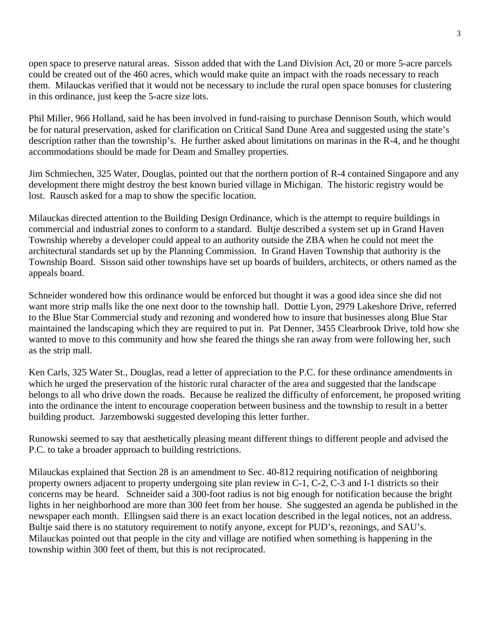open space to preserve natural areas. Sisson added that with the Land Division Act, 20 or more 5-acre parcels could be created out of the 460 acres, which would make quite an impact with the roads necessary to reach them. Milauckas verified that it would not be necessary to include the rural open space bonuses for clustering in this ordinance, just keep the 5-acre size lots.

Phil Miller, 966 Holland, said he has been involved in fund-raising to purchase Dennison South, which would be for natural preservation, asked for clarification on Critical Sand Dune Area and suggested using the state's description rather than the township's. He further asked about limitations on marinas in the R-4, and he thought accommodations should be made for Deam and Smalley properties.

Jim Schmiechen, 325 Water, Douglas, pointed out that the northern portion of R-4 contained Singapore and any development there might destroy the best known buried village in Michigan. The historic registry would be lost. Rausch asked for a map to show the specific location.

Milauckas directed attention to the Building Design Ordinance, which is the attempt to require buildings in commercial and industrial zones to conform to a standard. Bultje described a system set up in Grand Haven Township whereby a developer could appeal to an authority outside the ZBA when he could not meet the architectural standards set up by the Planning Commission. In Grand Haven Township that authority is the Township Board. Sisson said other townships have set up boards of builders, architects, or others named as the appeals board.

Schneider wondered how this ordinance would be enforced but thought it was a good idea since she did not want more strip malls like the one next door to the township hall. Dottie Lyon, 2979 Lakeshore Drive, referred to the Blue Star Commercial study and rezoning and wondered how to insure that businesses along Blue Star maintained the landscaping which they are required to put in. Pat Denner, 3455 Clearbrook Drive, told how she wanted to move to this community and how she feared the things she ran away from were following her, such as the strip mall.

Ken Carls, 325 Water St., Douglas, read a letter of appreciation to the P.C. for these ordinance amendments in which he urged the preservation of the historic rural character of the area and suggested that the landscape belongs to all who drive down the roads. Because he realized the difficulty of enforcement, he proposed writing into the ordinance the intent to encourage cooperation between business and the township to result in a better building product. Jarzembowski suggested developing this letter further.

Runowski seemed to say that aesthetically pleasing meant different things to different people and advised the P.C. to take a broader approach to building restrictions.

Milauckas explained that Section 28 is an amendment to Sec. 40-812 requiring notification of neighboring property owners adjacent to property undergoing site plan review in C-1, C-2, C-3 and I-1 districts so their concerns may be heard. Schneider said a 300-foot radius is not big enough for notification because the bright lights in her neighborhood are more than 300 feet from her house. She suggested an agenda be published in the newspaper each month. Ellingsen said there is an exact location described in the legal notices, not an address. Bultje said there is no statutory requirement to notify anyone, except for PUD's, rezonings, and SAU's. Milauckas pointed out that people in the city and village are notified when something is happening in the township within 300 feet of them, but this is not reciprocated.